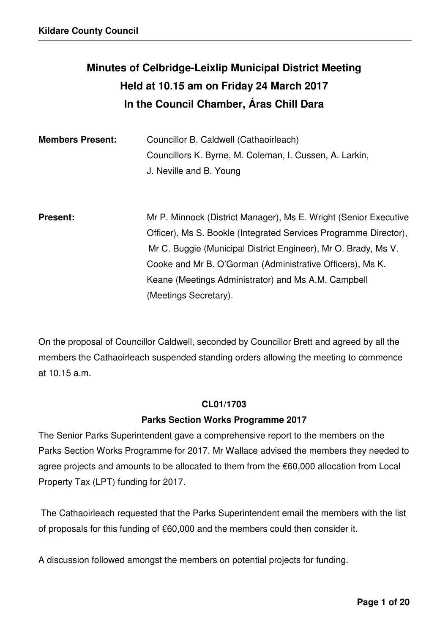# **Minutes of Celbridge-Leixlip Municipal District Meeting Held at 10.15 am on Friday 24 March 2017 In the Council Chamber, Áras Chill Dara**

| <b>Members Present:</b> | Councillor B. Caldwell (Cathaoirleach)<br>Councillors K. Byrne, M. Coleman, I. Cussen, A. Larkin,<br>J. Neville and B. Young                                                                                                                                                                                                                        |
|-------------------------|-----------------------------------------------------------------------------------------------------------------------------------------------------------------------------------------------------------------------------------------------------------------------------------------------------------------------------------------------------|
| <b>Present:</b>         | Mr P. Minnock (District Manager), Ms E. Wright (Senior Executive<br>Officer), Ms S. Bookle (Integrated Services Programme Director),<br>Mr C. Buggie (Municipal District Engineer), Mr O. Brady, Ms V.<br>Cooke and Mr B. O'Gorman (Administrative Officers), Ms K.<br>Keane (Meetings Administrator) and Ms A.M. Campbell<br>(Meetings Secretary). |

On the proposal of Councillor Caldwell, seconded by Councillor Brett and agreed by all the members the Cathaoirleach suspended standing orders allowing the meeting to commence at 10.15 a.m.

### **CL01/1703**

# **Parks Section Works Programme 2017**

The Senior Parks Superintendent gave a comprehensive report to the members on the Parks Section Works Programme for 2017. Mr Wallace advised the members they needed to agree projects and amounts to be allocated to them from the €60,000 allocation from Local Property Tax (LPT) funding for 2017.

 The Cathaoirleach requested that the Parks Superintendent email the members with the list of proposals for this funding of €60,000 and the members could then consider it.

A discussion followed amongst the members on potential projects for funding.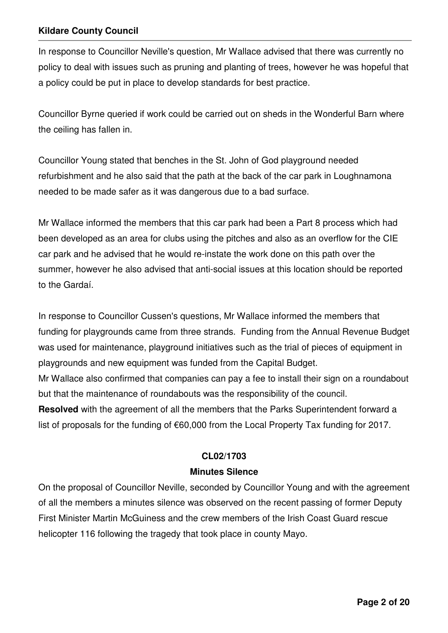In response to Councillor Neville's question, Mr Wallace advised that there was currently no policy to deal with issues such as pruning and planting of trees, however he was hopeful that a policy could be put in place to develop standards for best practice.

Councillor Byrne queried if work could be carried out on sheds in the Wonderful Barn where the ceiling has fallen in.

Councillor Young stated that benches in the St. John of God playground needed refurbishment and he also said that the path at the back of the car park in Loughnamona needed to be made safer as it was dangerous due to a bad surface.

Mr Wallace informed the members that this car park had been a Part 8 process which had been developed as an area for clubs using the pitches and also as an overflow for the CIE car park and he advised that he would re-instate the work done on this path over the summer, however he also advised that anti-social issues at this location should be reported to the Gardaí.

In response to Councillor Cussen's questions, Mr Wallace informed the members that funding for playgrounds came from three strands. Funding from the Annual Revenue Budget was used for maintenance, playground initiatives such as the trial of pieces of equipment in playgrounds and new equipment was funded from the Capital Budget.

Mr Wallace also confirmed that companies can pay a fee to install their sign on a roundabout but that the maintenance of roundabouts was the responsibility of the council.

**Resolved** with the agreement of all the members that the Parks Superintendent forward a list of proposals for the funding of €60,000 from the Local Property Tax funding for 2017.

# **CL02/1703**

# **Minutes Silence**

On the proposal of Councillor Neville, seconded by Councillor Young and with the agreement of all the members a minutes silence was observed on the recent passing of former Deputy First Minister Martin McGuiness and the crew members of the Irish Coast Guard rescue helicopter 116 following the tragedy that took place in county Mayo.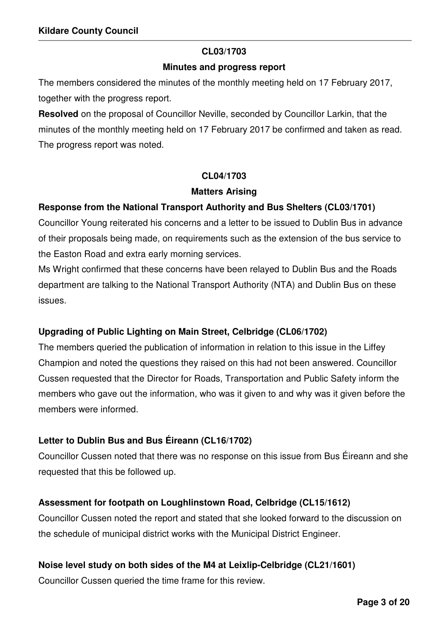### **CL03/1703**

### **Minutes and progress report**

The members considered the minutes of the monthly meeting held on 17 February 2017, together with the progress report.

**Resolved** on the proposal of Councillor Neville, seconded by Councillor Larkin, that the minutes of the monthly meeting held on 17 February 2017 be confirmed and taken as read. The progress report was noted.

# **CL04/1703**

### **Matters Arising**

# **Response from the National Transport Authority and Bus Shelters (CL03/1701)**

Councillor Young reiterated his concerns and a letter to be issued to Dublin Bus in advance of their proposals being made, on requirements such as the extension of the bus service to the Easton Road and extra early morning services.

Ms Wright confirmed that these concerns have been relayed to Dublin Bus and the Roads department are talking to the National Transport Authority (NTA) and Dublin Bus on these issues.

# **Upgrading of Public Lighting on Main Street, Celbridge (CL06/1702)**

The members queried the publication of information in relation to this issue in the Liffey Champion and noted the questions they raised on this had not been answered. Councillor Cussen requested that the Director for Roads, Transportation and Public Safety inform the members who gave out the information, who was it given to and why was it given before the members were informed.

# **Letter to Dublin Bus and Bus Éireann (CL16/1702)**

Councillor Cussen noted that there was no response on this issue from Bus Éireann and she requested that this be followed up.

# **Assessment for footpath on Loughlinstown Road, Celbridge (CL15/1612)**

Councillor Cussen noted the report and stated that she looked forward to the discussion on the schedule of municipal district works with the Municipal District Engineer.

# **Noise level study on both sides of the M4 at Leixlip-Celbridge (CL21/1601)**

Councillor Cussen queried the time frame for this review.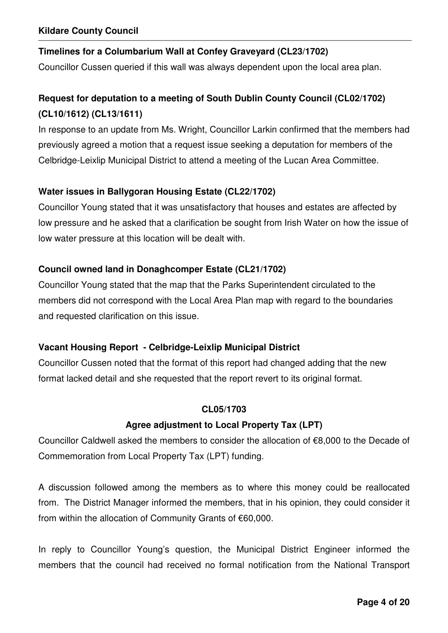# **Timelines for a Columbarium Wall at Confey Graveyard (CL23/1702)**

Councillor Cussen queried if this wall was always dependent upon the local area plan.

# **Request for deputation to a meeting of South Dublin County Council (CL02/1702) (CL10/1612) (CL13/1611)**

In response to an update from Ms. Wright, Councillor Larkin confirmed that the members had previously agreed a motion that a request issue seeking a deputation for members of the Celbridge-Leixlip Municipal District to attend a meeting of the Lucan Area Committee.

# **Water issues in Ballygoran Housing Estate (CL22/1702)**

Councillor Young stated that it was unsatisfactory that houses and estates are affected by low pressure and he asked that a clarification be sought from Irish Water on how the issue of low water pressure at this location will be dealt with.

# **Council owned land in Donaghcomper Estate (CL21/1702)**

Councillor Young stated that the map that the Parks Superintendent circulated to the members did not correspond with the Local Area Plan map with regard to the boundaries and requested clarification on this issue.

# **Vacant Housing Report - Celbridge-Leixlip Municipal District**

Councillor Cussen noted that the format of this report had changed adding that the new format lacked detail and she requested that the report revert to its original format.

# **CL05/1703**

# **Agree adjustment to Local Property Tax (LPT)**

Councillor Caldwell asked the members to consider the allocation of €8,000 to the Decade of Commemoration from Local Property Tax (LPT) funding.

A discussion followed among the members as to where this money could be reallocated from. The District Manager informed the members, that in his opinion, they could consider it from within the allocation of Community Grants of €60,000.

In reply to Councillor Young's question, the Municipal District Engineer informed the members that the council had received no formal notification from the National Transport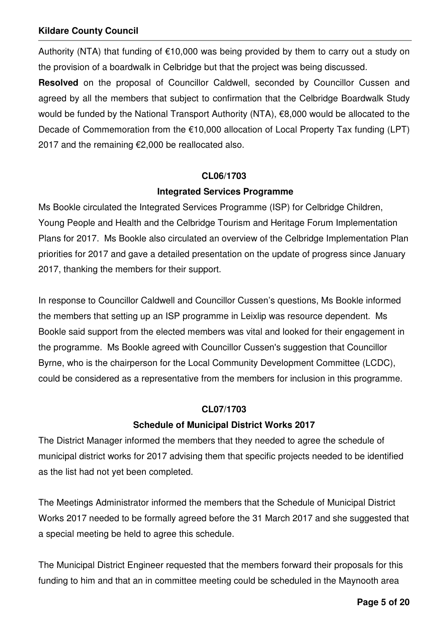Authority (NTA) that funding of  $\epsilon$ 10,000 was being provided by them to carry out a study on the provision of a boardwalk in Celbridge but that the project was being discussed.

**Resolved** on the proposal of Councillor Caldwell, seconded by Councillor Cussen and agreed by all the members that subject to confirmation that the Celbridge Boardwalk Study would be funded by the National Transport Authority (NTA), €8,000 would be allocated to the Decade of Commemoration from the €10,000 allocation of Local Property Tax funding (LPT) 2017 and the remaining €2,000 be reallocated also.

### **CL06/1703**

### **Integrated Services Programme**

Ms Bookle circulated the Integrated Services Programme (ISP) for Celbridge Children, Young People and Health and the Celbridge Tourism and Heritage Forum Implementation Plans for 2017. Ms Bookle also circulated an overview of the Celbridge Implementation Plan priorities for 2017 and gave a detailed presentation on the update of progress since January 2017, thanking the members for their support.

In response to Councillor Caldwell and Councillor Cussen's questions, Ms Bookle informed the members that setting up an ISP programme in Leixlip was resource dependent. Ms Bookle said support from the elected members was vital and looked for their engagement in the programme. Ms Bookle agreed with Councillor Cussen's suggestion that Councillor Byrne, who is the chairperson for the Local Community Development Committee (LCDC), could be considered as a representative from the members for inclusion in this programme.

# **CL07/1703**

# **Schedule of Municipal District Works 2017**

The District Manager informed the members that they needed to agree the schedule of municipal district works for 2017 advising them that specific projects needed to be identified as the list had not yet been completed.

The Meetings Administrator informed the members that the Schedule of Municipal District Works 2017 needed to be formally agreed before the 31 March 2017 and she suggested that a special meeting be held to agree this schedule.

The Municipal District Engineer requested that the members forward their proposals for this funding to him and that an in committee meeting could be scheduled in the Maynooth area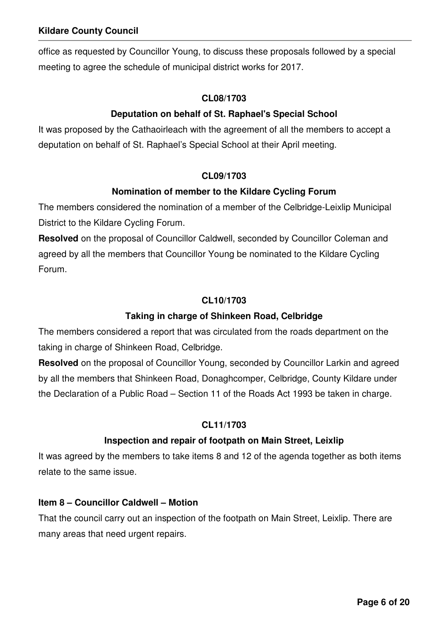office as requested by Councillor Young, to discuss these proposals followed by a special meeting to agree the schedule of municipal district works for 2017.

### **CL08/1703**

# **Deputation on behalf of St. Raphael's Special School**

It was proposed by the Cathaoirleach with the agreement of all the members to accept a deputation on behalf of St. Raphael's Special School at their April meeting.

# **CL09/1703**

# **Nomination of member to the Kildare Cycling Forum**

The members considered the nomination of a member of the Celbridge-Leixlip Municipal District to the Kildare Cycling Forum.

**Resolved** on the proposal of Councillor Caldwell, seconded by Councillor Coleman and agreed by all the members that Councillor Young be nominated to the Kildare Cycling Forum.

# **CL10/1703**

# **Taking in charge of Shinkeen Road, Celbridge**

The members considered a report that was circulated from the roads department on the taking in charge of Shinkeen Road, Celbridge.

**Resolved** on the proposal of Councillor Young, seconded by Councillor Larkin and agreed by all the members that Shinkeen Road, Donaghcomper, Celbridge, County Kildare under the Declaration of a Public Road – Section 11 of the Roads Act 1993 be taken in charge.

# **CL11/1703**

# **Inspection and repair of footpath on Main Street, Leixlip**

It was agreed by the members to take items 8 and 12 of the agenda together as both items relate to the same issue.

# **Item 8 – Councillor Caldwell – Motion**

That the council carry out an inspection of the footpath on Main Street, Leixlip. There are many areas that need urgent repairs.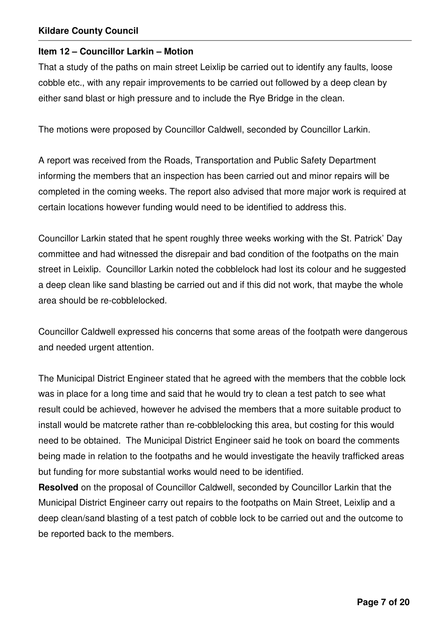### **Item 12 – Councillor Larkin – Motion**

That a study of the paths on main street Leixlip be carried out to identify any faults, loose cobble etc., with any repair improvements to be carried out followed by a deep clean by either sand blast or high pressure and to include the Rye Bridge in the clean.

The motions were proposed by Councillor Caldwell, seconded by Councillor Larkin.

A report was received from the Roads, Transportation and Public Safety Department informing the members that an inspection has been carried out and minor repairs will be completed in the coming weeks. The report also advised that more major work is required at certain locations however funding would need to be identified to address this.

Councillor Larkin stated that he spent roughly three weeks working with the St. Patrick' Day committee and had witnessed the disrepair and bad condition of the footpaths on the main street in Leixlip. Councillor Larkin noted the cobblelock had lost its colour and he suggested a deep clean like sand blasting be carried out and if this did not work, that maybe the whole area should be re-cobblelocked.

Councillor Caldwell expressed his concerns that some areas of the footpath were dangerous and needed urgent attention.

The Municipal District Engineer stated that he agreed with the members that the cobble lock was in place for a long time and said that he would try to clean a test patch to see what result could be achieved, however he advised the members that a more suitable product to install would be matcrete rather than re-cobblelocking this area, but costing for this would need to be obtained. The Municipal District Engineer said he took on board the comments being made in relation to the footpaths and he would investigate the heavily trafficked areas but funding for more substantial works would need to be identified.

**Resolved** on the proposal of Councillor Caldwell, seconded by Councillor Larkin that the Municipal District Engineer carry out repairs to the footpaths on Main Street, Leixlip and a deep clean/sand blasting of a test patch of cobble lock to be carried out and the outcome to be reported back to the members.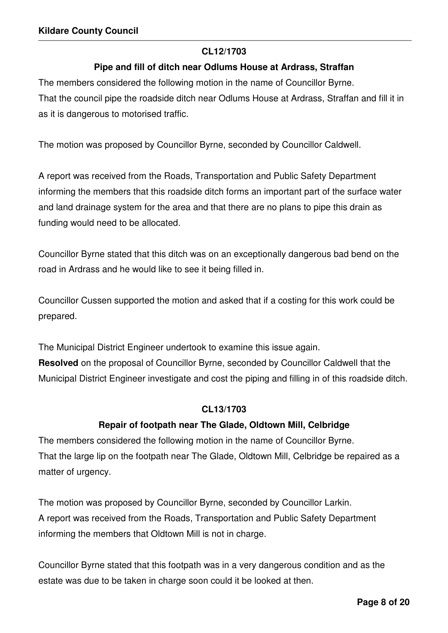### **CL12/1703**

# **Pipe and fill of ditch near Odlums House at Ardrass, Straffan**

The members considered the following motion in the name of Councillor Byrne. That the council pipe the roadside ditch near Odlums House at Ardrass, Straffan and fill it in as it is dangerous to motorised traffic.

The motion was proposed by Councillor Byrne, seconded by Councillor Caldwell.

A report was received from the Roads, Transportation and Public Safety Department informing the members that this roadside ditch forms an important part of the surface water and land drainage system for the area and that there are no plans to pipe this drain as funding would need to be allocated.

Councillor Byrne stated that this ditch was on an exceptionally dangerous bad bend on the road in Ardrass and he would like to see it being filled in.

Councillor Cussen supported the motion and asked that if a costing for this work could be prepared.

The Municipal District Engineer undertook to examine this issue again. **Resolved** on the proposal of Councillor Byrne, seconded by Councillor Caldwell that the Municipal District Engineer investigate and cost the piping and filling in of this roadside ditch.

### **CL13/1703**

# **Repair of footpath near The Glade, Oldtown Mill, Celbridge**

The members considered the following motion in the name of Councillor Byrne. That the large lip on the footpath near The Glade, Oldtown Mill, Celbridge be repaired as a matter of urgency.

The motion was proposed by Councillor Byrne, seconded by Councillor Larkin. A report was received from the Roads, Transportation and Public Safety Department informing the members that Oldtown Mill is not in charge.

Councillor Byrne stated that this footpath was in a very dangerous condition and as the estate was due to be taken in charge soon could it be looked at then.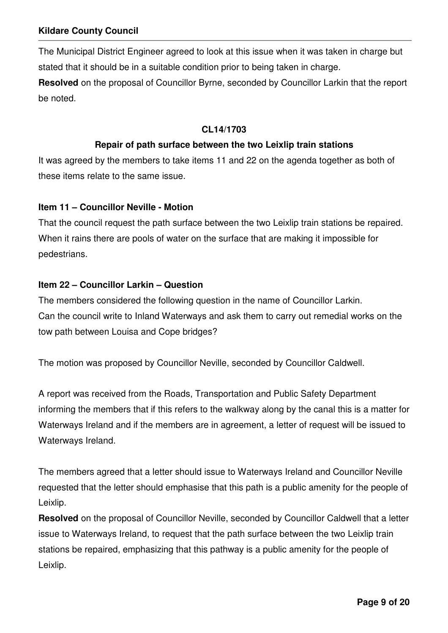The Municipal District Engineer agreed to look at this issue when it was taken in charge but stated that it should be in a suitable condition prior to being taken in charge.

**Resolved** on the proposal of Councillor Byrne, seconded by Councillor Larkin that the report be noted.

### **CL14/1703**

### **Repair of path surface between the two Leixlip train stations**

It was agreed by the members to take items 11 and 22 on the agenda together as both of these items relate to the same issue.

### **Item 11 – Councillor Neville - Motion**

That the council request the path surface between the two Leixlip train stations be repaired. When it rains there are pools of water on the surface that are making it impossible for pedestrians.

### **Item 22 – Councillor Larkin – Question**

The members considered the following question in the name of Councillor Larkin. Can the council write to Inland Waterways and ask them to carry out remedial works on the tow path between Louisa and Cope bridges?

The motion was proposed by Councillor Neville, seconded by Councillor Caldwell.

A report was received from the Roads, Transportation and Public Safety Department informing the members that if this refers to the walkway along by the canal this is a matter for Waterways Ireland and if the members are in agreement, a letter of request will be issued to Waterways Ireland.

The members agreed that a letter should issue to Waterways Ireland and Councillor Neville requested that the letter should emphasise that this path is a public amenity for the people of Leixlip.

**Resolved** on the proposal of Councillor Neville, seconded by Councillor Caldwell that a letter issue to Waterways Ireland, to request that the path surface between the two Leixlip train stations be repaired, emphasizing that this pathway is a public amenity for the people of Leixlip.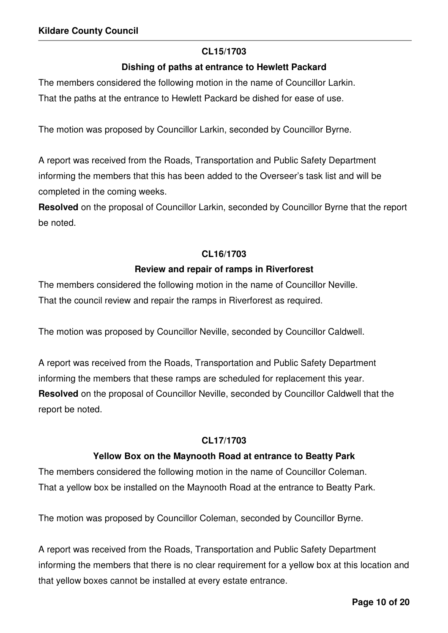### **CL15/1703**

### **Dishing of paths at entrance to Hewlett Packard**

The members considered the following motion in the name of Councillor Larkin.

That the paths at the entrance to Hewlett Packard be dished for ease of use.

The motion was proposed by Councillor Larkin, seconded by Councillor Byrne.

A report was received from the Roads, Transportation and Public Safety Department informing the members that this has been added to the Overseer's task list and will be completed in the coming weeks.

**Resolved** on the proposal of Councillor Larkin, seconded by Councillor Byrne that the report be noted.

#### **CL16/1703**

#### **Review and repair of ramps in Riverforest**

The members considered the following motion in the name of Councillor Neville. That the council review and repair the ramps in Riverforest as required.

The motion was proposed by Councillor Neville, seconded by Councillor Caldwell.

A report was received from the Roads, Transportation and Public Safety Department informing the members that these ramps are scheduled for replacement this year. **Resolved** on the proposal of Councillor Neville, seconded by Councillor Caldwell that the report be noted.

#### **CL17/1703**

#### **Yellow Box on the Maynooth Road at entrance to Beatty Park**

The members considered the following motion in the name of Councillor Coleman. That a yellow box be installed on the Maynooth Road at the entrance to Beatty Park.

The motion was proposed by Councillor Coleman, seconded by Councillor Byrne.

A report was received from the Roads, Transportation and Public Safety Department informing the members that there is no clear requirement for a yellow box at this location and that yellow boxes cannot be installed at every estate entrance.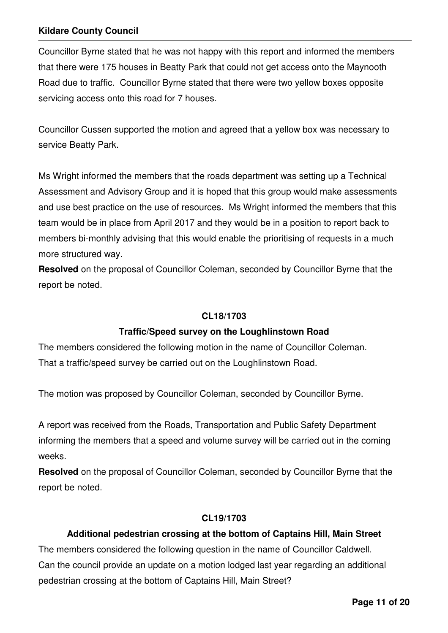Councillor Byrne stated that he was not happy with this report and informed the members that there were 175 houses in Beatty Park that could not get access onto the Maynooth Road due to traffic. Councillor Byrne stated that there were two yellow boxes opposite servicing access onto this road for 7 houses.

Councillor Cussen supported the motion and agreed that a yellow box was necessary to service Beatty Park.

Ms Wright informed the members that the roads department was setting up a Technical Assessment and Advisory Group and it is hoped that this group would make assessments and use best practice on the use of resources. Ms Wright informed the members that this team would be in place from April 2017 and they would be in a position to report back to members bi-monthly advising that this would enable the prioritising of requests in a much more structured way.

**Resolved** on the proposal of Councillor Coleman, seconded by Councillor Byrne that the report be noted.

#### **CL18/1703**

# **Traffic/Speed survey on the Loughlinstown Road**

The members considered the following motion in the name of Councillor Coleman. That a traffic/speed survey be carried out on the Loughlinstown Road.

The motion was proposed by Councillor Coleman, seconded by Councillor Byrne.

A report was received from the Roads, Transportation and Public Safety Department informing the members that a speed and volume survey will be carried out in the coming weeks.

**Resolved** on the proposal of Councillor Coleman, seconded by Councillor Byrne that the report be noted.

### **CL19/1703**

# **Additional pedestrian crossing at the bottom of Captains Hill, Main Street**

The members considered the following question in the name of Councillor Caldwell. Can the council provide an update on a motion lodged last year regarding an additional pedestrian crossing at the bottom of Captains Hill, Main Street?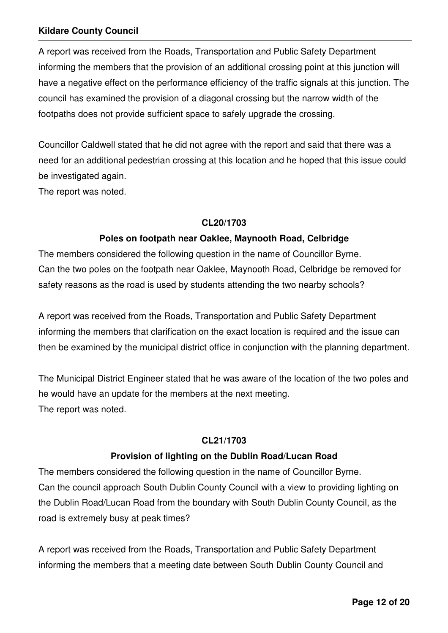A report was received from the Roads, Transportation and Public Safety Department informing the members that the provision of an additional crossing point at this junction will have a negative effect on the performance efficiency of the traffic signals at this junction. The council has examined the provision of a diagonal crossing but the narrow width of the footpaths does not provide sufficient space to safely upgrade the crossing.

Councillor Caldwell stated that he did not agree with the report and said that there was a need for an additional pedestrian crossing at this location and he hoped that this issue could be investigated again.

The report was noted.

### **CL20/1703**

# **Poles on footpath near Oaklee, Maynooth Road, Celbridge**

The members considered the following question in the name of Councillor Byrne. Can the two poles on the footpath near Oaklee, Maynooth Road, Celbridge be removed for safety reasons as the road is used by students attending the two nearby schools?

A report was received from the Roads, Transportation and Public Safety Department informing the members that clarification on the exact location is required and the issue can then be examined by the municipal district office in conjunction with the planning department.

The Municipal District Engineer stated that he was aware of the location of the two poles and he would have an update for the members at the next meeting. The report was noted.

# **CL21/1703**

# **Provision of lighting on the Dublin Road/Lucan Road**

The members considered the following question in the name of Councillor Byrne. Can the council approach South Dublin County Council with a view to providing lighting on the Dublin Road/Lucan Road from the boundary with South Dublin County Council, as the road is extremely busy at peak times?

A report was received from the Roads, Transportation and Public Safety Department informing the members that a meeting date between South Dublin County Council and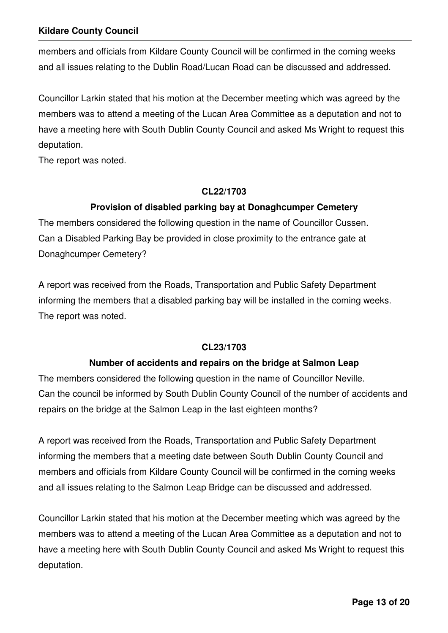members and officials from Kildare County Council will be confirmed in the coming weeks and all issues relating to the Dublin Road/Lucan Road can be discussed and addressed.

Councillor Larkin stated that his motion at the December meeting which was agreed by the members was to attend a meeting of the Lucan Area Committee as a deputation and not to have a meeting here with South Dublin County Council and asked Ms Wright to request this deputation.

The report was noted.

### **CL22/1703**

# **Provision of disabled parking bay at Donaghcumper Cemetery**

The members considered the following question in the name of Councillor Cussen. Can a Disabled Parking Bay be provided in close proximity to the entrance gate at Donaghcumper Cemetery?

A report was received from the Roads, Transportation and Public Safety Department informing the members that a disabled parking bay will be installed in the coming weeks. The report was noted.

# **CL23/1703**

# **Number of accidents and repairs on the bridge at Salmon Leap**

The members considered the following question in the name of Councillor Neville. Can the council be informed by South Dublin County Council of the number of accidents and repairs on the bridge at the Salmon Leap in the last eighteen months?

A report was received from the Roads, Transportation and Public Safety Department informing the members that a meeting date between South Dublin County Council and members and officials from Kildare County Council will be confirmed in the coming weeks and all issues relating to the Salmon Leap Bridge can be discussed and addressed.

Councillor Larkin stated that his motion at the December meeting which was agreed by the members was to attend a meeting of the Lucan Area Committee as a deputation and not to have a meeting here with South Dublin County Council and asked Ms Wright to request this deputation.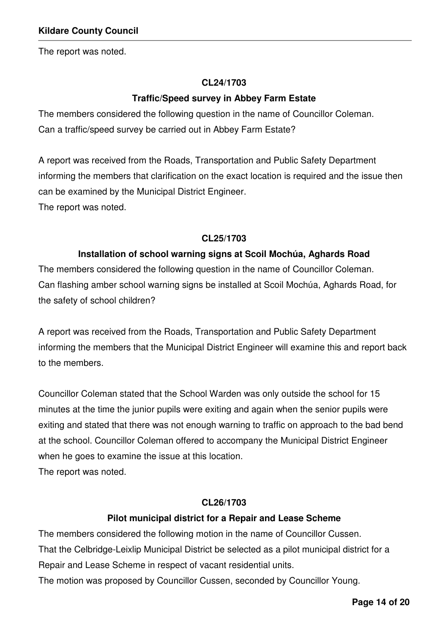The report was noted.

### **CL24/1703**

### **Traffic/Speed survey in Abbey Farm Estate**

The members considered the following question in the name of Councillor Coleman. Can a traffic/speed survey be carried out in Abbey Farm Estate?

A report was received from the Roads, Transportation and Public Safety Department informing the members that clarification on the exact location is required and the issue then can be examined by the Municipal District Engineer. The report was noted.

#### **CL25/1703**

### **Installation of school warning signs at Scoil Mochúa, Aghards Road**

The members considered the following question in the name of Councillor Coleman. Can flashing amber school warning signs be installed at Scoil Mochúa, Aghards Road, for the safety of school children?

A report was received from the Roads, Transportation and Public Safety Department informing the members that the Municipal District Engineer will examine this and report back to the members.

Councillor Coleman stated that the School Warden was only outside the school for 15 minutes at the time the junior pupils were exiting and again when the senior pupils were exiting and stated that there was not enough warning to traffic on approach to the bad bend at the school. Councillor Coleman offered to accompany the Municipal District Engineer when he goes to examine the issue at this location.

The report was noted.

#### **CL26/1703**

### **Pilot municipal district for a Repair and Lease Scheme**

The members considered the following motion in the name of Councillor Cussen. That the Celbridge-Leixlip Municipal District be selected as a pilot municipal district for a Repair and Lease Scheme in respect of vacant residential units. The motion was proposed by Councillor Cussen, seconded by Councillor Young.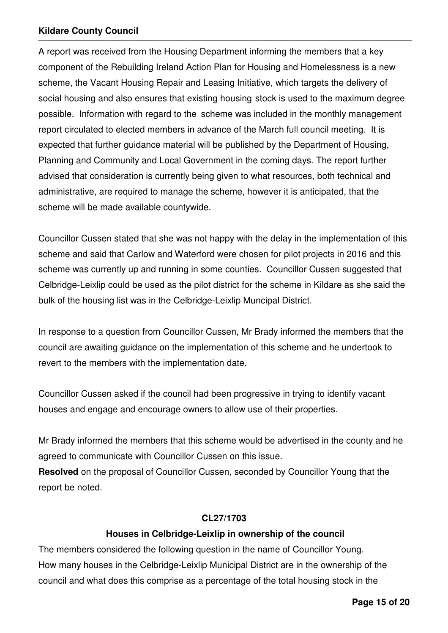A report was received from the Housing Department informing the members that a key component of the Rebuilding Ireland Action Plan for Housing and Homelessness is a new scheme, the Vacant Housing Repair and Leasing Initiative, which targets the delivery of social housing and also ensures that existing housing stock is used to the maximum degree possible. Information with regard to the scheme was included in the monthly management report circulated to elected members in advance of the March full council meeting. It is expected that further guidance material will be published by the Department of Housing, Planning and Community and Local Government in the coming days. The report further advised that consideration is currently being given to what resources, both technical and administrative, are required to manage the scheme, however it is anticipated, that the scheme will be made available countywide.

Councillor Cussen stated that she was not happy with the delay in the implementation of this scheme and said that Carlow and Waterford were chosen for pilot projects in 2016 and this scheme was currently up and running in some counties. Councillor Cussen suggested that Celbridge-Leixlip could be used as the pilot district for the scheme in Kildare as she said the bulk of the housing list was in the Celbridge-Leixlip Muncipal District.

In response to a question from Councillor Cussen, Mr Brady informed the members that the council are awaiting guidance on the implementation of this scheme and he undertook to revert to the members with the implementation date.

Councillor Cussen asked if the council had been progressive in trying to identify vacant houses and engage and encourage owners to allow use of their properties.

Mr Brady informed the members that this scheme would be advertised in the county and he agreed to communicate with Councillor Cussen on this issue.

**Resolved** on the proposal of Councillor Cussen, seconded by Councillor Young that the report be noted.

### **CL27/1703**

# **Houses in Celbridge-Leixlip in ownership of the council**

The members considered the following question in the name of Councillor Young. How many houses in the Celbridge-Leixlip Municipal District are in the ownership of the council and what does this comprise as a percentage of the total housing stock in the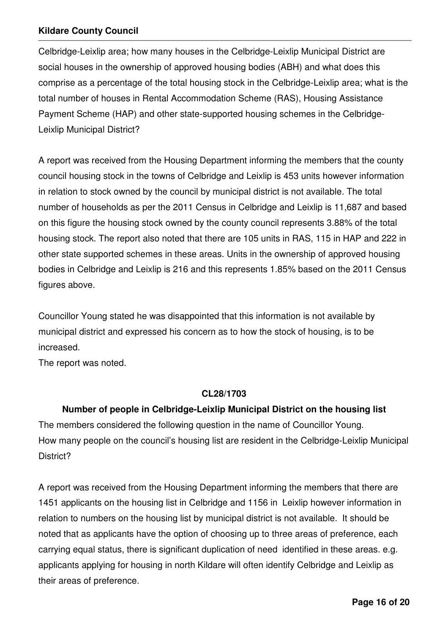Celbridge-Leixlip area; how many houses in the Celbridge-Leixlip Municipal District are social houses in the ownership of approved housing bodies (ABH) and what does this comprise as a percentage of the total housing stock in the Celbridge-Leixlip area; what is the total number of houses in Rental Accommodation Scheme (RAS), Housing Assistance Payment Scheme (HAP) and other state-supported housing schemes in the Celbridge-Leixlip Municipal District?

A report was received from the Housing Department informing the members that the county council housing stock in the towns of Celbridge and Leixlip is 453 units however information in relation to stock owned by the council by municipal district is not available. The total number of households as per the 2011 Census in Celbridge and Leixlip is 11,687 and based on this figure the housing stock owned by the county council represents 3.88% of the total housing stock. The report also noted that there are 105 units in RAS, 115 in HAP and 222 in other state supported schemes in these areas. Units in the ownership of approved housing bodies in Celbridge and Leixlip is 216 and this represents 1.85% based on the 2011 Census figures above.

Councillor Young stated he was disappointed that this information is not available by municipal district and expressed his concern as to how the stock of housing, is to be increased.

The report was noted.

### **CL28/1703**

**Number of people in Celbridge-Leixlip Municipal District on the housing list**  The members considered the following question in the name of Councillor Young. How many people on the council's housing list are resident in the Celbridge-Leixlip Municipal District?

A report was received from the Housing Department informing the members that there are 1451 applicants on the housing list in Celbridge and 1156 in Leixlip however information in relation to numbers on the housing list by municipal district is not available. It should be noted that as applicants have the option of choosing up to three areas of preference, each carrying equal status, there is significant duplication of need identified in these areas. e.g. applicants applying for housing in north Kildare will often identify Celbridge and Leixlip as their areas of preference.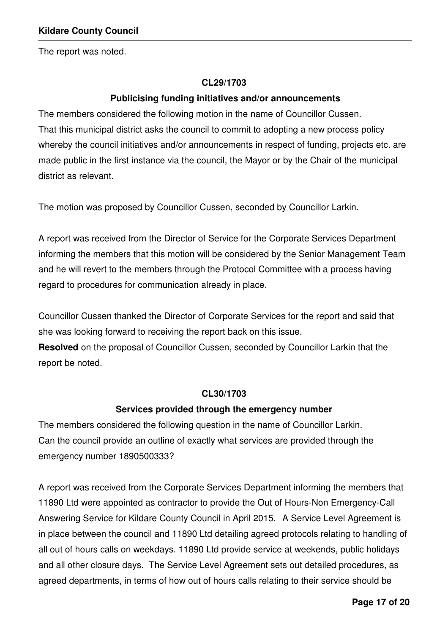The report was noted.

#### **CL29/1703**

### **Publicising funding initiatives and/or announcements**

The members considered the following motion in the name of Councillor Cussen. That this municipal district asks the council to commit to adopting a new process policy whereby the council initiatives and/or announcements in respect of funding, projects etc. are made public in the first instance via the council, the Mayor or by the Chair of the municipal district as relevant.

The motion was proposed by Councillor Cussen, seconded by Councillor Larkin.

A report was received from the Director of Service for the Corporate Services Department informing the members that this motion will be considered by the Senior Management Team and he will revert to the members through the Protocol Committee with a process having regard to procedures for communication already in place.

Councillor Cussen thanked the Director of Corporate Services for the report and said that she was looking forward to receiving the report back on this issue.

**Resolved** on the proposal of Councillor Cussen, seconded by Councillor Larkin that the report be noted.

#### **CL30/1703**

#### **Services provided through the emergency number**

The members considered the following question in the name of Councillor Larkin. Can the council provide an outline of exactly what services are provided through the emergency number 1890500333?

A report was received from the Corporate Services Department informing the members that 11890 Ltd were appointed as contractor to provide the Out of Hours-Non Emergency-Call Answering Service for Kildare County Council in April 2015. A Service Level Agreement is in place between the council and 11890 Ltd detailing agreed protocols relating to handling of all out of hours calls on weekdays. 11890 Ltd provide service at weekends, public holidays and all other closure days. The Service Level Agreement sets out detailed procedures, as agreed departments, in terms of how out of hours calls relating to their service should be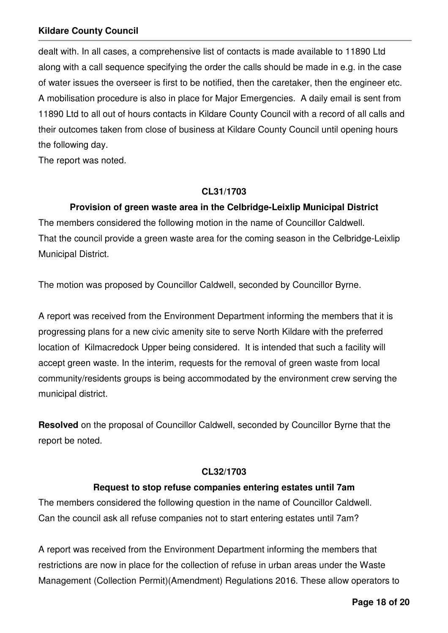dealt with. In all cases, a comprehensive list of contacts is made available to 11890 Ltd along with a call sequence specifying the order the calls should be made in e.g. in the case of water issues the overseer is first to be notified, then the caretaker, then the engineer etc. A mobilisation procedure is also in place for Major Emergencies. A daily email is sent from 11890 Ltd to all out of hours contacts in Kildare County Council with a record of all calls and their outcomes taken from close of business at Kildare County Council until opening hours the following day.

The report was noted.

### **CL31/1703**

# **Provision of green waste area in the Celbridge-Leixlip Municipal District**

The members considered the following motion in the name of Councillor Caldwell. That the council provide a green waste area for the coming season in the Celbridge-Leixlip Municipal District.

The motion was proposed by Councillor Caldwell, seconded by Councillor Byrne.

A report was received from the Environment Department informing the members that it is progressing plans for a new civic amenity site to serve North Kildare with the preferred location of Kilmacredock Upper being considered. It is intended that such a facility will accept green waste. In the interim, requests for the removal of green waste from local community/residents groups is being accommodated by the environment crew serving the municipal district.

**Resolved** on the proposal of Councillor Caldwell, seconded by Councillor Byrne that the report be noted.

# **CL32/1703**

# **Request to stop refuse companies entering estates until 7am**

The members considered the following question in the name of Councillor Caldwell. Can the council ask all refuse companies not to start entering estates until 7am?

A report was received from the Environment Department informing the members that restrictions are now in place for the collection of refuse in urban areas under the Waste Management (Collection Permit)(Amendment) Regulations 2016. These allow operators to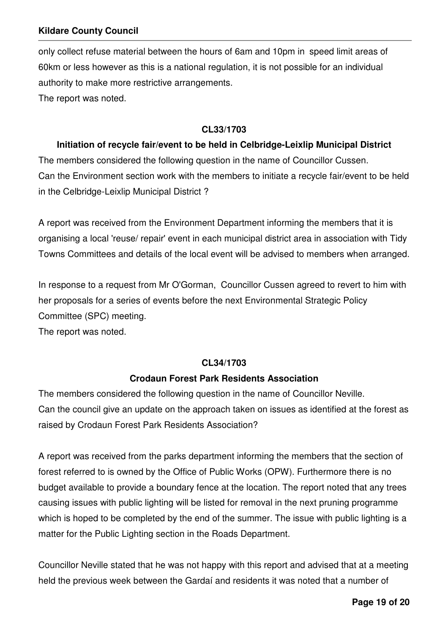only collect refuse material between the hours of 6am and 10pm in speed limit areas of 60km or less however as this is a national regulation, it is not possible for an individual authority to make more restrictive arrangements. The report was noted.

### **CL33/1703**

### **Initiation of recycle fair/event to be held in Celbridge-Leixlip Municipal District**

The members considered the following question in the name of Councillor Cussen. Can the Environment section work with the members to initiate a recycle fair/event to be held in the Celbridge-Leixlip Municipal District ?

A report was received from the Environment Department informing the members that it is organising a local 'reuse/ repair' event in each municipal district area in association with Tidy Towns Committees and details of the local event will be advised to members when arranged.

In response to a request from Mr O'Gorman, Councillor Cussen agreed to revert to him with her proposals for a series of events before the next Environmental Strategic Policy Committee (SPC) meeting.

The report was noted.

# **CL34/1703**

# **Crodaun Forest Park Residents Association**

The members considered the following question in the name of Councillor Neville. Can the council give an update on the approach taken on issues as identified at the forest as raised by Crodaun Forest Park Residents Association?

A report was received from the parks department informing the members that the section of forest referred to is owned by the Office of Public Works (OPW). Furthermore there is no budget available to provide a boundary fence at the location. The report noted that any trees causing issues with public lighting will be listed for removal in the next pruning programme which is hoped to be completed by the end of the summer. The issue with public lighting is a matter for the Public Lighting section in the Roads Department.

Councillor Neville stated that he was not happy with this report and advised that at a meeting held the previous week between the Gardaí and residents it was noted that a number of